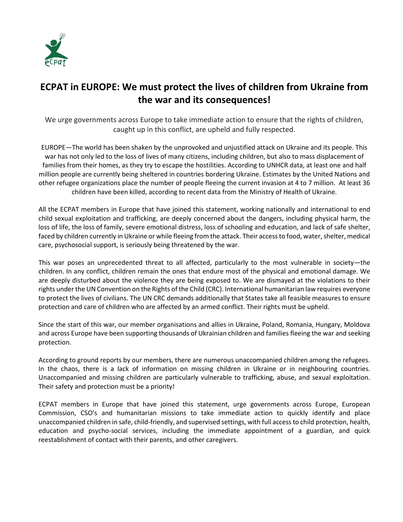

## **ECPAT in EUROPE: We must protect the lives of children from Ukraine from the war and its consequences!**

We urge governments across Europe to take immediate action to ensure that the rights of children, caught up in this conflict, are upheld and fully respected.

EUROPE—The world has been shaken by the unprovoked and unjustified attack on Ukraine and its people. This war has not only led to the loss of lives of many citizens, including children, but also to mass displacement of families from their homes, as they try to escape the hostilities. According to UNHCR data, at least one and half million people are currently being sheltered in countries bordering Ukraine. Estimates by the United Nations and other refugee organizations place the number of people fleeing the current invasion at 4 to 7 million. At least 36 children have been killed, according to recent data from the Ministry of Health of Ukraine.

All the ECPAT members in Europe that have joined this statement, working nationally and international to end child sexual exploitation and trafficking, are deeply concerned about the dangers, including physical harm, the loss of life, the loss of family, severe emotional distress, loss of schooling and education, and lack of safe shelter, faced by children currently in Ukraine or while fleeing from the attack. Their access to food, water, shelter, medical care, psychosocial support, is seriously being threatened by the war.

This war poses an unprecedented threat to all affected, particularly to the most vulnerable in society—the children. In any conflict, children remain the ones that endure most of the physical and emotional damage. We are deeply disturbed about the violence they are being exposed to. We are dismayed at the violations to their rights under the UN Convention on the Rights of the Child (CRC). International humanitarian law requires everyone to protect the lives of civilians. The UN CRC demands additionally that States take all feasible measures to ensure protection and care of children who are affected by an armed conflict. Their rights must be upheld.

Since the start of this war, our member organisations and allies in Ukraine, Poland, Romania, Hungary, Moldova and across Europe have been supporting thousands of Ukrainian children and families fleeing the war and seeking protection.

According to ground reports by our members, there are numerous unaccompanied children among the refugees. In the chaos, there is a lack of information on missing children in Ukraine or in neighbouring countries. Unaccompanied and missing children are particularly vulnerable to trafficking, abuse, and sexual exploitation. Their safety and protection must be a priority!

ECPAT members in Europe that have joined this statement, urge governments across Europe, European Commission, CSO's and humanitarian missions to take immediate action to quickly identify and place unaccompanied children in safe, child-friendly, and supervised settings, with full access to child protection, health, education and psycho-social services, including the immediate appointment of a guardian, and quick reestablishment of contact with their parents, and other caregivers.